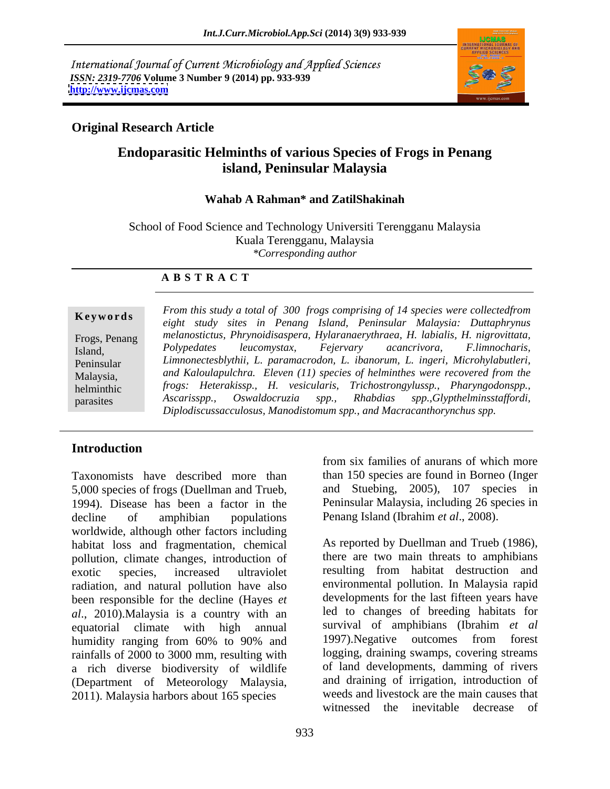International Journal of Current Microbiology and Applied Sciences *ISSN: 2319-7706* **Volume 3 Number 9 (2014) pp. 933-939 <http://www.ijcmas.com>**



## **Original Research Article**

# **Endoparasitic Helminths of various Species of Frogs in Penang island, Peninsular Malaysia**

### **Wahab A Rahman\* and ZatilShakinah**

School of Food Science and Technology Universiti Terengganu Malaysia Kuala Terengganu, Malaysia *\*Corresponding author*

### **A B S T R A C T**

**Ke ywo rds** *eight study sites in Penang Island, Peninsular Malaysia: Duttaphrynus* Frogs, Penang *melanostictus, Phrynoidisaspera, Hylaranaerythraea, H. labialis, H. nigrovittata,* Island, Polypedates leucomystax, Fejervary acancrivora, F.limnocharis, Peninsular *Limnonectesblythii, L. paramacrodon, L. ibanorum, L. ingeri, Microhylabutleri,* Malaysia, *and Kaloulapulchra. Eleven (11) species of helminthes were recovered from the* helminthic *frogs: Heterakissp., H. vesicularis, Trichostrongylussp., Pharyngodonspp.,*  parasites *Ascarisspp., Oswaldocruzia spp., Khabdias spp.,Glypthelminsstaffordi, From this study a total of 300 frogs comprising of 14 species were collectedfrom Polypedates leucomystax, Fejervary acancrivora, F.limnocharis, Ascarisspp., Oswaldocruzia spp., Rhabdias spp.,Glypthelminsstaffordi, Diplodiscussacculosus, Manodistomum spp., and Macracanthorynchus spp.*

## **Introduction**

Taxonomists have described more than 5,000 species of frogs (Duellman and Trueb, 1994). Disease has been a factor in the decline of amphibian populations Penang Island (Ibrahim *et al*., 2008). worldwide, although other factors including habitat loss and fragmentation, chemical pollution, climate changes, introduction of exotic species, increased ultraviolet resulting from habitat destruction and radiation, and natural pollution have also been responsible for the decline (Hayes *et al*., 2010).Malaysia is a country with an equatorial climate with high annual survival of amphibians (Ibrahim *et al* humidity ranging from 60% to 90% and 1997). Negative outcomes from forest rainfalls of 2000 to 3000 mm, resulting with a rich diverse biodiversity of wildlife (Department of Meteorology Malaysia, 2011). Malaysia harbors about 165 species

from six families of anurans of which more than 150 species are found in Borneo (Inger and Stuebing, 2005), 107 species in Peninsular Malaysia, including 26 species in

As reported by Duellman and Trueb (1986), there are two main threats to amphibians environmental pollution. In Malaysia rapid developments for the last fifteen years have led to changes of breeding habitats for 1997).Negative outcomes from forest logging, draining swamps, covering streams of land developments, damming of rivers and draining of irrigation, introduction of weeds and livestock are the main causes that witnessed the inevitable decrease of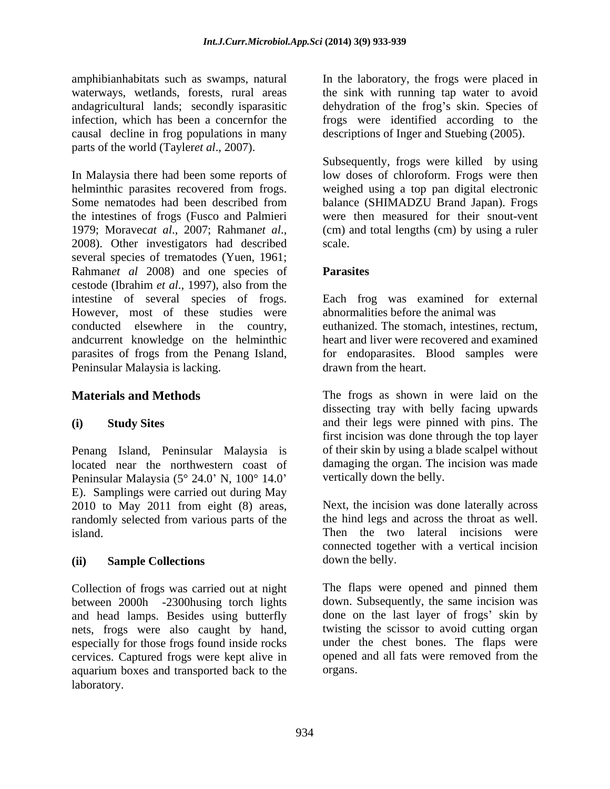causal decline in frog populations in many parts of the world (Tayler*et al*., 2007).

In Malaysia there had been some reports of low doses of chloroform. Frogs were then helminthic parasites recovered from frogs. weighed using a top pan digital electronic Some nematodes had been described from balance (SHIMADZU Brand Japan). Frogs the intestines of frogs (Fusco and Palmieri 1979; Moravec*at al*., 2007; Rahman*et al*., 2008). Other investigators had described several species of trematodes (Yuen, 1961; Rahman*et al* 2008) and one species of cestode (Ibrahim *et al*., 1997), also from the intestine of several species of frogs. Each frog was examined for external However, most of these studies were conducted elsewhere in the country, andcurrent knowledge on the helminthic parasites of frogs from the Penang Island, for endoparasites. Blood samples were Peninsular Malaysia is lacking.

Penang Island, Peninsular Malaysia is Peninsular Malaysia ( $5^{\circ}$  24.0' N,  $100^{\circ}$  14.0' E). Samplings were carried out during May 2010 to May 2011 from eight (8) areas, randomly selected from various parts of the

Collection of frogs was carried out at night between 2000h -2300husing torch lights and head lamps. Besides using butterfly nets, frogs were also caught by hand, twisting the scissor to avoid cutting organ especially for those frogs found inside rocks under the chest bones. The flaps were cervices. Captured frogs were kept alive in aquarium boxes and transported back to the laboratory.

amphibianhabitats such as swamps, natural In the laboratory, the frogs were placed in waterways, wetlands, forests, rural areas the sink with running tap water to avoid andagricultural lands; secondly isparasitic and dehydration of the frog's skin. Species of infection, which has been a concernfor the frogs were identified according to the descriptions of Inger and Stuebing (2005).

> Subsequently, frogs were killed by using were then measured for their snout-vent (cm) and total lengths (cm) by using a ruler scale.

## **Parasites**

abnormalities before the animal was euthanized. The stomach, intestines, rectum, heart and liver were recovered and examined drawn from the heart.

**Materials and Methods** The frogs as shown in were laid on the **(i) Study Sites** and their legs were pinned with pins. The located near the northwestern coast of damaging the organ. The incision was made dissecting tray with belly facing upwards first incision was done through the top layer of their skin by using a blade scalpel without vertically down the belly.

island. Then the two lateral incisions were **(ii) Sample Collections** Next, the incision was done laterally across the hind legs and across the throat as well. connected together with a vertical incision down the belly.

> The flaps were opened and pinned them down. Subsequently, the same incision was done on the last layer of frogs' skin by twisting the scissor to avoid cutting organ under the chest bones. The flaps were opened and all fats were removed from the organs.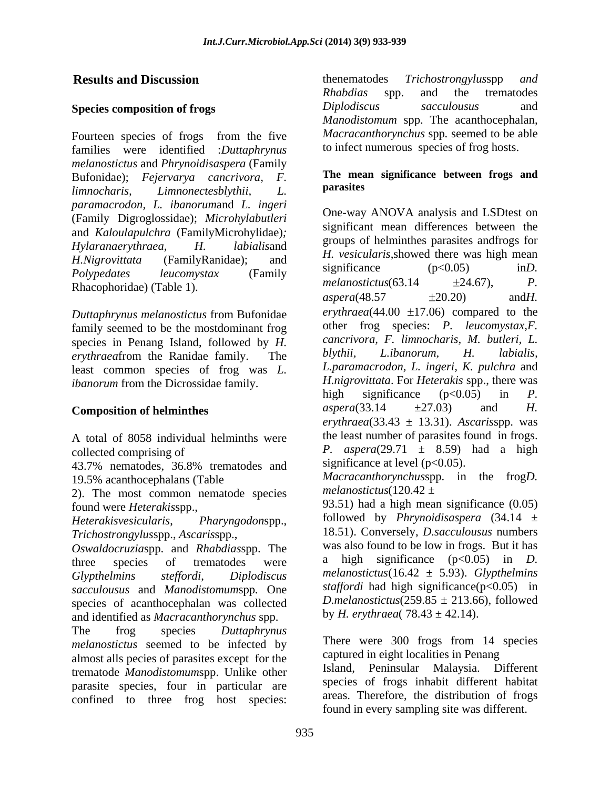Fourteen species of frogs from the five families were identified :*Duttaphrynus melanostictus* and *Phrynoidisaspera* (Family Bufonidae); *Fejervarya cancrivora, F. limnocharis, Limnonectesblythii, L. paramacrodon, L. ibanorum*and *L. ingeri* (Family Digroglossidae); *Microhylabutleri* and *Kaloulapulchra* (FamilyMicrohylidae)*;* 

*Duttaphrynus melanostictus* from Bufonidae family seemed to be the mostdominant frog species in Penang Island, followed by *H. cancrivora, F. limnocharis, M. butleri, L.*<br> *cancrivora, F. limnocharis, M. butleri, L. cancrivora, H. labialis.* least common species of frog was *L.* 

A total of 8058 individual helminths were

43.7% nematodes, 36.8% trematodes and

2). The most common nematode species melanostictus( $120.42 \pm$ 

*Trichostrongylus*spp., *Ascaris*spp.,

*Oswaldocruziaspp.* and *Rhabdiasspp.* The was also found to be low in frogs. But it has three species of trematodes were a high significance (p<0.05) in *D*. *sacculousus* and *Manodistomum*spp*.* One species of acanthocephalan was collected and identified as *Macracanthorynchus* spp.

The frog species *Duttaphrynus melanostictus* seemed to be infected by almost alls pecies of parasites except for the trematode *Manodistomum*spp. Unlike other parasite species, four in particular are confined to three frog host species:

**Results and Discussion Example 2018 Results and Discussion Example 2018 Results and Discussion Species composition of frogs** *Diplodiscus sacculousus* and thenematodes *Trichostrongylus*spp *and Rhabdias* spp. and the trematodes *Diplodiscus sacculousus* and *Manodistomum* spp. The acanthocephalan, *Macracanthorynchus* spp*.* seemed to be able to infect numerous species of frog hosts.

### **The mean significance between frogs and parasites**

*Hylaranaerythraea, H. labialis*and *H.Nigrovittata* (FamilyRanidae); and *Polypedates leucomystax* (Family significance (ps0.05) ind. Rhacophoridae) (Table 1).  $melanostituts(63.14 +24.67), P.$ <br>aspera(48.57  $\pm$ 20.20) and H. *erythraea*from the Ranidae family. The *ibanorum* from the Dicrossidae family. *H.nigrovittata.* For *Heterakis* spp., there was high significance (p<0.05) in *P.* **Composition of helminthes** aspera(33.14  $\pm$ 27.03) and *H*. collected comprising of  $P.$  *aspera*(29.71  $\pm$  8.59) had a high One-way ANOVA analysis and LSDtest on significant mean differences between the groups of helminthes parasites andfrogs for *H. vesicularis*,showed there was high mean significance (p<0.05) inD.  $melanostitutus(63.14)$ *aspera*(48.57 20.20) and*H.*   $ervthraea(44.00 \pm 17.06)$  compared to the other frog species: *P. leucomystax,F. cancrivora, F. limnocharis, M. butleri, L. blythii, L.ibanorum, H. labialis, L.paramacrodon, L. ingeri, K. pulchra* and *H.nigrovittata*. For *Heterakis* spp., there was high significance (p<0.05) in *P. aspera*(33.14 ±27.03) and *H. erythraea*(33.43 ± 13.31). *Ascaris*spp. was the least number of parasites found in frogs. significance at level  $(p<0.05)$ .

19.5% acanthocephalans (Table *Macracanthorynchus*spp. in the frog*D. melanostictus*(120.42 ±

found were *Heterakis*spp., 93.51) had a high mean significance (0.05) *Heterakisvesicularis*, *Pharyngodon*spp., followed by *Phrynoidisaspera* (34.14 ± three species of trematodes were a high significance  $(p<0.05)$  in D. *Glypthelmins stef ordi*, *Diplodiscus melanostictus*(16.42 ± 5.93). *Glypthelmins* 18.51). Conversely, *D.sacculousus* numbers was also found to be low in frogs. But it has high significance  $(p<0.05)$  in *staffordi* had high significance(p<0.05) in *D.melanostictus*( $259.85 \pm 213.66$ ), followed by *H. erythraea*( $78.43 \pm 42.14$ ).

> There were 300 frogs from 14 species captured in eight localities in Penang

> Island, Peninsular Malaysia. Different species of frogs inhabit different habitat areas. Therefore, the distribution of frogs found in every sampling site was different.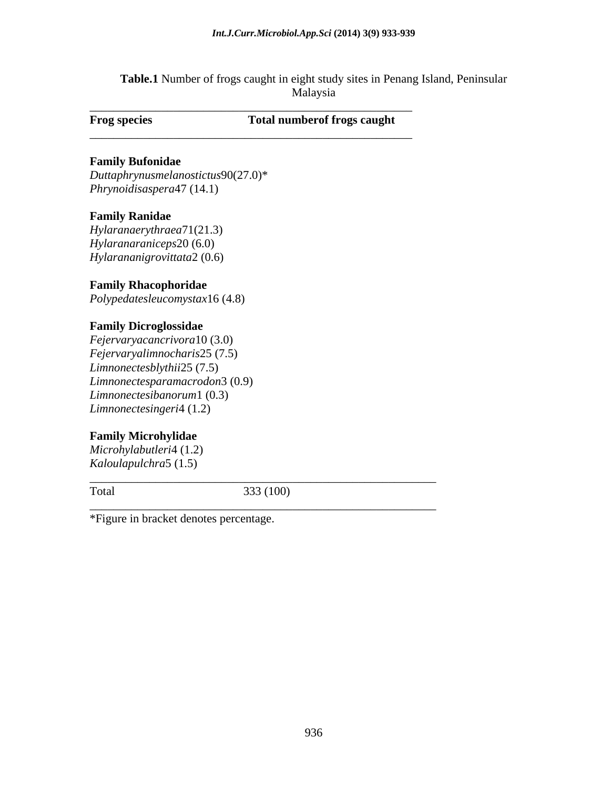**Table.1** Number of frogs caught in eight study sites in Penang Island, Peninsular Malaysia

**Frog species Total numberof frogs caught**

\_\_\_\_\_\_\_\_\_\_\_\_\_\_\_\_\_\_\_\_\_\_\_\_\_\_\_\_\_\_\_\_\_\_\_\_\_\_\_\_\_\_\_\_\_\_\_\_\_\_\_\_\_\_

\_\_\_\_\_\_\_\_\_\_\_\_\_\_\_\_\_\_\_\_\_\_\_\_\_\_\_\_\_\_\_\_\_\_\_\_\_\_\_\_\_\_\_\_\_\_\_\_\_\_\_\_\_\_

*\_\_\_\_\_\_\_\_\_\_\_\_\_\_\_\_\_\_\_\_\_\_\_\_\_\_\_\_\_\_\_\_\_\_\_\_\_\_\_\_\_\_\_\_\_\_\_\_\_\_\_\_\_\_\_\_\_\_*

\_\_\_\_\_\_\_\_\_\_\_\_\_\_\_\_\_\_\_\_\_\_\_\_\_\_\_\_\_\_\_\_\_\_\_\_\_\_\_\_\_\_\_\_\_\_\_\_\_\_\_\_\_\_\_\_\_\_

## **Family Bufonidae**

*Duttaphrynusmelanostictus*90(27.0)\* *Phrynoidisaspera*47 (14.1)

### **Family Ranidae**

*Hylaranaerythraea*71(21.3) *Hylaranaraniceps*20 (6.0) *Hylarananigrovittata*2 (0.6)

## **Family Rhacophoridae**

*Polypedatesleucomystax*16 (4.8)

### **Family Dicroglossidae**

*Fejervaryacancrivora*10 (3.0) *Fejervaryalimnocharis*25 (7.5) *Limnonectesblythii*25 (7.5) *Limnonectesparamacrodon*3 (0.9) *Limnonectesibanorum*1 (0.3) *Limnonectesingeri*4 (1.2)

## **Family Microhylidae**

*Microhylabutleri*4 (1.2) *Kaloulapulchra*5 (1.5)

Total 333 (100)

\*Figure in bracket denotes percentage.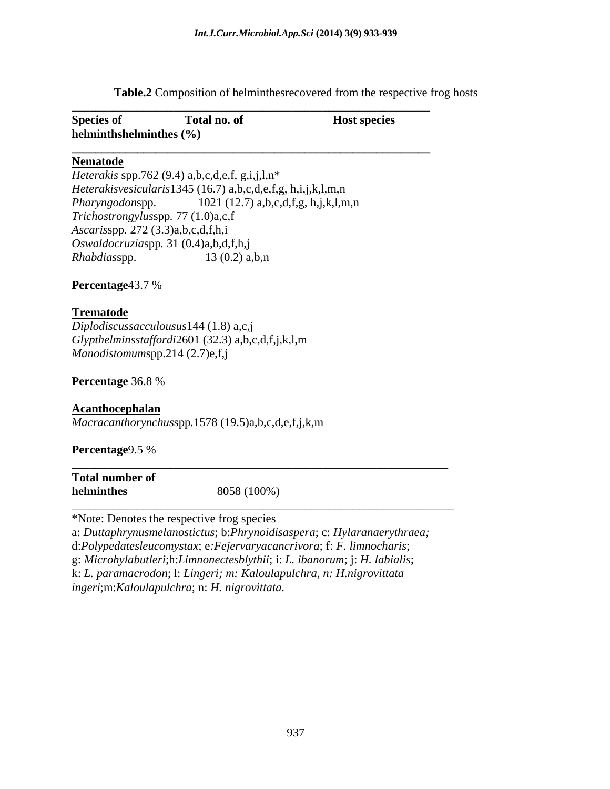**Table.2** Composition of helminthesrecovered from the respective frog hosts

## **Nematode**

*Heterakis* spp.762 (9.4) a,b,c,d,e,f, g,i,j,l,n\* *Heterakisvesicularis*1345 (16.7) a,b,c,d,e,f,g, h,i,j,k,l,m,n *Pharyngodon*spp. 1021 (12.7) a,b,c,d,f,g, h,j,k,l,m,n *Trichostrongylus*spp*.* 77 (1.0)a,c,f *Ascaris*spp*.* 272 (3.3)a,b,c,d,f,h,i *Oswaldocruzia*spp*.* 31 (0.4)a,b,d,f,h,j *Rhabdias*spp. 13 (0.2) a,b,n

**Percentage**43.7 %

## **Trematode**

*Diplodiscussacculousus*144 (1.8) a,c,j *Glypthelminsstaffordi*2601 (32.3) a,b,c,d,f,j,k,l,m *Manodistomum*spp.214 (2.7)e,f,j

**Percentage** 36.8 %

## **Acanthocephalan**

*Macracanthorynchus*spp*.*1578 (19.5)a,b,c,d,e,f,j,k,m

**Percentage**9.5 %

| <b>Total number of</b> |             |  |  |
|------------------------|-------------|--|--|
| helminthes             | 8058 (100%) |  |  |
|                        |             |  |  |

\*Note: Denotes the respective frog species

a: *Duttaphrynusmelanostictus*; b:*Phrynoidisaspera*; c: *Hylaranaerythraea;* 

d:*Polypedatesleucomystax*; e*:Fejervaryacancrivora*; f: *F. limnocharis*;

g: *Microhylabutleri*;h:*Limnonectesblythii*; i: *L. ibanorum*; j: *H. labialis*;

k: *L. paramacrodon*; l: *Lingeri; m: Kaloulapulchra, n: H.nigrovittata*

*ingeri*;m:*Kaloulapulchra*; n: *H. nigrovittata*.

\_\_\_\_\_\_\_\_\_\_\_\_\_\_\_\_\_\_\_\_\_\_\_\_\_\_\_\_\_\_\_\_\_\_\_\_\_\_\_\_\_\_\_\_\_\_\_\_\_\_\_\_\_\_\_\_\_\_\_\_\_\_\_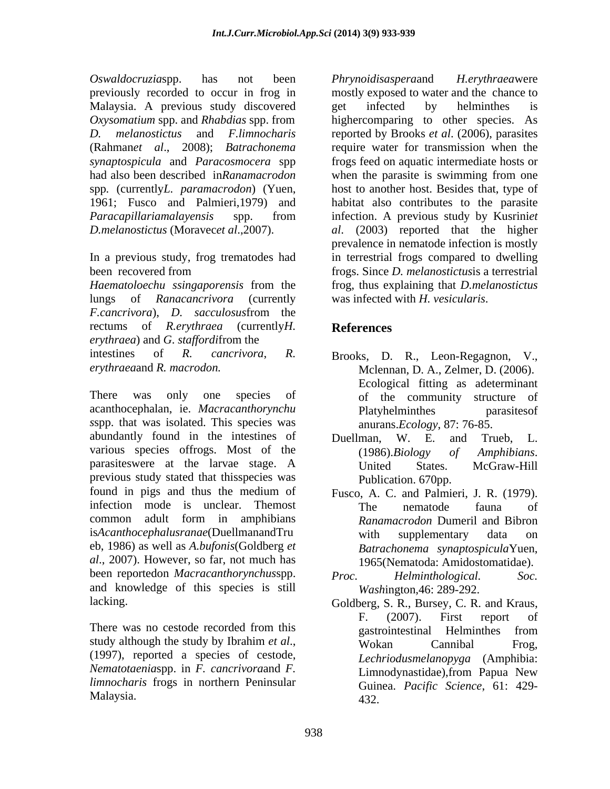Malaysia. A previous study discovered get infected by helminthes is

In a previous study, frog trematodes had

lungs of *Ranacancrivora* (currently *F.cancrivora*), *D. sacculosus*from the rectums of *R.erythraea* (currently*H. erythraea*) and *G*. *staffordi*from the

There was only one species of of the community structure of acanthocephalan, ie. *Macracanthorynchu s*spp. that was isolated. This species was abundantly found in the intestines of Duellman, W. E. and Trueb, L. various species offrogs. Most of the (1986). Biology of Amphibians. parasiteswere at the larvae stage. A previous study stated that thisspecies was found in pigs and thus the medium of Fusco, A. C. and Palmieri, J. R. (1979). infection mode is unclear. Themost The nematode fauna of common adult form in amphibians Ranamacrodon Dumeril and Bibron is*Acanthocephalusranae*(DuellmanandTru eb, 1986) as well as *A.bufonis*(Goldberg *et al*., 2007). However, so far, not much has been reportedon *Macracanthorynchus*spp. and knowledge of this species is still

*Nematotaenia*spp. in *F. cancrivora*and *F. limnocharis* frogs in northern Peninsular

*Oswaldocruzia*spp. has not been previously recorded to occur in frog in mostly exposed to water and the chance to *Oxysomatium* spp. and *Rhabdias* spp. from *D. melanostictus* and *F.limnocharis* reported by Brooks *et al*. (2006), parasites (Rahman*et al*., 2008); *Batrachonema* require water for transmission when the *synaptospicula* and *Paracosmocera* spp frogs feed on aquatic intermediate hosts or had also been described in*Ranamacrodon* when the parasite is swimming from one spp*.* (currently*L. paramacrodon*) (Yuen, host to another host. Besides that, type of 1961; Fusco and Palmieri,1979) and habitat also contributes to the parasite *Paracapillariamalayensis* spp. from infection. A previous study by Kusrini*et D.melanostictus* (Moravec*et al*.,2007). *al*. (2003) reported that the higher been recovered from frogs. Since *D. melanostictus*is a terrestrial *Haematoloechu ssingaporensis* from the frog, thus explaining that *D.melanostictus Phrynoidisaspera*and *H.erythraea*were get infected by helminthes is highercomparing to other species. As prevalence in nematode infection is mostly in terrestrial frogs compared to dwelling was infected with *H. vesicularis*.

# **References**

- intestines of *R. cancrivora*, *R.*  Brooks, D. R., Leon-Regagnon, V., *erythraea*and *R. macrodon.* Mclennan, D. A., Zelmer, D. (2006). Ecological fitting as adeterminant of the community structure of Platyhelminthes parasitesof anurans.*Ecology*, 87: 76-85.
	- Duellman, W. E. and Trueb, L. (1986).*Biology of Amphibians*. United States. McGraw-Hill Publication. 670pp.
	- The nematode fauna of *Ranamacrodon* Dumeril and Bibron with supplementary data on *Batrachonema synaptospicula*Yuen, 1965(Nematoda: Amidostomatidae).
	- $Helmithological.$ *Wash*ington,46: 289-292.
- lacking. Goldberg, S. R., Bursey, C. R. and Kraus, There was no cestode recorded from this search of pastrointesting Helminthes from study although the study by Ibrahim *et al*.,<br>(1997), reported a species of cestode, *Lechriodusmelanopyga* (Amphibia: Malaysia. 232. The same state of the same state of the same state of the same state of the same state of the s F. (2007). First report of gastrointestinal Helminthes from Wokan Cannibal Frog, *Lechriodusmelanopyga* (Amphibia: Limnodynastidae),from Papua New Guinea. *Pacific Science*, 61: 429- 432.